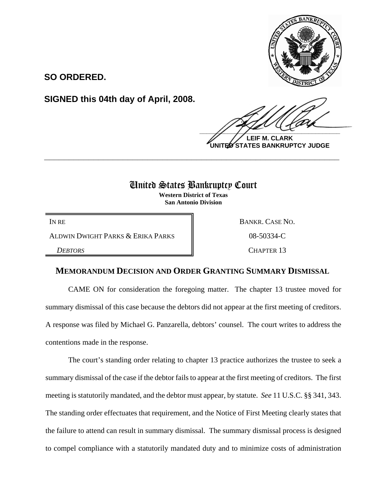

**SO ORDERED.**

**SIGNED this 04th day of April, 2008.**

 $\frac{1}{2}$ 

**LEIF M. CLARK UNITED STATES BANKRUPTCY JUDGE**

## United States Bankruptcy Court

**\_\_\_\_\_\_\_\_\_\_\_\_\_\_\_\_\_\_\_\_\_\_\_\_\_\_\_\_\_\_\_\_\_\_\_\_\_\_\_\_\_\_\_\_\_\_\_\_\_\_\_\_\_\_\_\_\_\_\_\_**

**Western District of Texas San Antonio Division**

ALDWIN DWIGHT PARKS & ERIKA PARKS  $\parallel$  08-50334-C

IN RE BANKR. CASE NO. **DEBTORS** CHAPTER 13

## **MEMORANDUM DECISION AND ORDER GRANTING SUMMARY DISMISSAL**

CAME ON for consideration the foregoing matter. The chapter 13 trustee moved for summary dismissal of this case because the debtors did not appear at the first meeting of creditors. A response was filed by Michael G. Panzarella, debtors' counsel. The court writes to address the contentions made in the response.

The court's standing order relating to chapter 13 practice authorizes the trustee to seek a summary dismissal of the case if the debtor fails to appear at the first meeting of creditors. The first meeting is statutorily mandated, and the debtor must appear, by statute. *See* 11 U.S.C. §§ 341, 343. The standing order effectuates that requirement, and the Notice of First Meeting clearly states that the failure to attend can result in summary dismissal. The summary dismissal process is designed to compel compliance with a statutorily mandated duty and to minimize costs of administration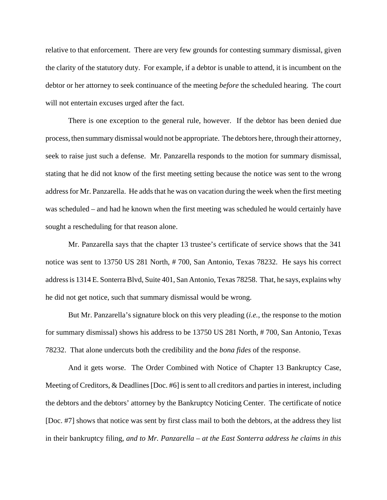relative to that enforcement. There are very few grounds for contesting summary dismissal, given the clarity of the statutory duty. For example, if a debtor is unable to attend, it is incumbent on the debtor or her attorney to seek continuance of the meeting *before* the scheduled hearing. The court will not entertain excuses urged after the fact.

There is one exception to the general rule, however. If the debtor has been denied due process, then summary dismissal would not be appropriate. The debtors here, through their attorney, seek to raise just such a defense. Mr. Panzarella responds to the motion for summary dismissal, stating that he did not know of the first meeting setting because the notice was sent to the wrong address for Mr. Panzarella. He adds that he was on vacation during the week when the first meeting was scheduled – and had he known when the first meeting was scheduled he would certainly have sought a rescheduling for that reason alone.

Mr. Panzarella says that the chapter 13 trustee's certificate of service shows that the 341 notice was sent to 13750 US 281 North, # 700, San Antonio, Texas 78232. He says his correct address is 1314 E. Sonterra Blvd, Suite 401, San Antonio, Texas 78258. That, he says, explains why he did not get notice, such that summary dismissal would be wrong.

But Mr. Panzarella's signature block on this very pleading (*i.e.*, the response to the motion for summary dismissal) shows his address to be 13750 US 281 North, # 700, San Antonio, Texas 78232. That alone undercuts both the credibility and the *bona fides* of the response.

And it gets worse. The Order Combined with Notice of Chapter 13 Bankruptcy Case, Meeting of Creditors, & Deadlines [Doc. #6] is sent to all creditors and parties in interest, including the debtors and the debtors' attorney by the Bankruptcy Noticing Center. The certificate of notice [Doc. #7] shows that notice was sent by first class mail to both the debtors, at the address they list in their bankruptcy filing, *and to Mr. Panzarella – at the East Sonterra address he claims in this*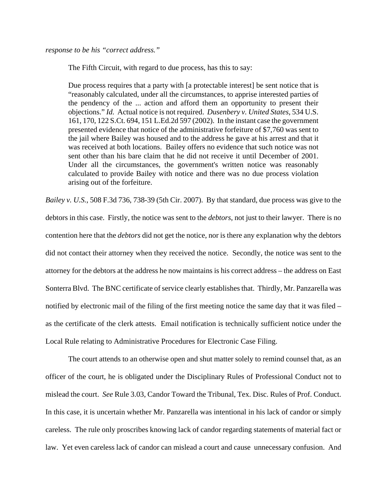*response to be his "correct address."*

The Fifth Circuit, with regard to due process, has this to say:

Due process requires that a party with [a protectable interest] be sent notice that is "reasonably calculated, under all the circumstances, to apprise interested parties of the pendency of the ... action and afford them an opportunity to present their objections." *Id.* Actual notice is not required. *Dusenbery v. United States*, 534 U.S. 161, 170, 122 S.Ct. 694, 151 L.Ed.2d 597 (2002). In the instant case the government presented evidence that notice of the administrative forfeiture of \$7,760 was sent to the jail where Bailey was housed and to the address he gave at his arrest and that it was received at both locations. Bailey offers no evidence that such notice was not sent other than his bare claim that he did not receive it until December of 2001. Under all the circumstances, the government's written notice was reasonably calculated to provide Bailey with notice and there was no due process violation arising out of the forfeiture.

*Bailey v. U.S.*, 508 F.3d 736, 738-39 (5th Cir. 2007). By that standard, due process was give to the debtors in this case. Firstly, the notice was sent to the *debtors*, not just to their lawyer. There is no contention here that the *debtors* did not get the notice, nor is there any explanation why the debtors did not contact their attorney when they received the notice. Secondly, the notice was sent to the attorney for the debtors at the address he now maintains is his correct address – the address on East Sonterra Blvd. The BNC certificate of service clearly establishes that. Thirdly, Mr. Panzarella was notified by electronic mail of the filing of the first meeting notice the same day that it was filed – as the certificate of the clerk attests. Email notification is technically sufficient notice under the Local Rule relating to Administrative Procedures for Electronic Case Filing.

The court attends to an otherwise open and shut matter solely to remind counsel that, as an officer of the court, he is obligated under the Disciplinary Rules of Professional Conduct not to mislead the court. *See* Rule 3.03, Candor Toward the Tribunal, Tex. Disc. Rules of Prof. Conduct. In this case, it is uncertain whether Mr. Panzarella was intentional in his lack of candor or simply careless. The rule only proscribes knowing lack of candor regarding statements of material fact or law. Yet even careless lack of candor can mislead a court and cause unnecessary confusion. And